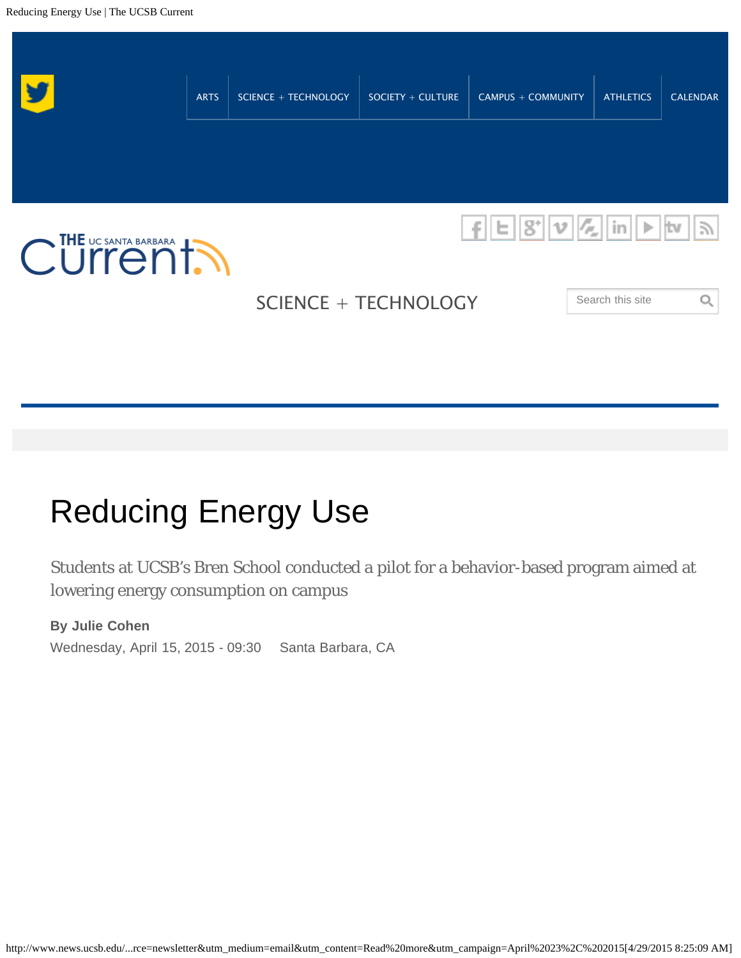

# Reducing Energy Use

Students at UCSB's Bren School conducted a pilot for a behavior-based program aimed at lowering energy consumption on campus

Wednesday, April 15, 2015 - 09:30 **By Julie Cohen** Santa Barbara, CA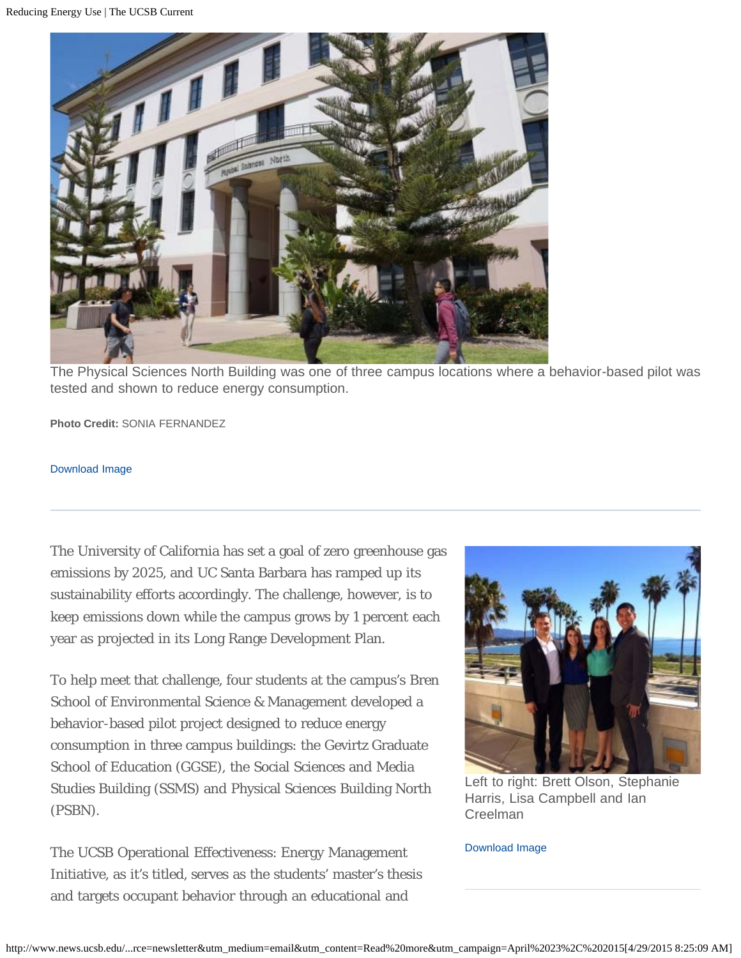

The Physical Sciences North Building was one of three campus locations where a behavior-based pilot was tested and shown to reduce energy consumption.

**Photo Credit:** SONIA FERNANDEZ

#### [Download Image](http://www.news.ucsb.edu/file/7919/download)

The University of California has set a goal of zero greenhouse gas emissions by 2025, and UC Santa Barbara has ramped up its sustainability efforts accordingly. The challenge, however, is to keep emissions down while the campus grows by 1 percent each year as projected in its Long Range Development Plan.

To help meet that challenge, four students at the campus's Bren School of Environmental Science & Management developed a behavior-based pilot project designed to reduce energy consumption in three campus buildings: the Gevirtz Graduate School of Education (GGSE), the Social Sciences and Media Studies Building (SSMS) and Physical Sciences Building North (PSBN).

The UCSB Operational Effectiveness: Energy Management Initiative, as it's titled, serves as the students' master's thesis and targets occupant behavior through an educational and



Left to right: Brett Olson, Stephanie Harris, Lisa Campbell and Ian Creelman

#### [Download Image](http://www.news.ucsb.edu/file/7917/download)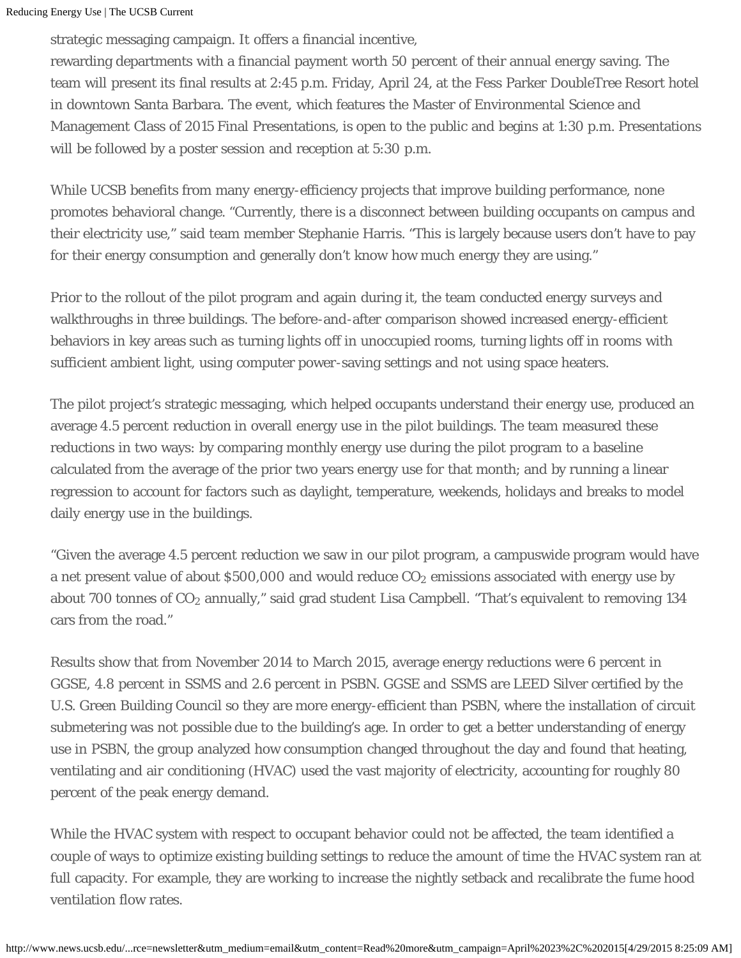strategic messaging campaign. It offers a financial incentive,

rewarding departments with a financial payment worth 50 percent of their annual energy saving. The team will present its final results at 2:45 p.m. Friday, April 24, at the Fess Parker DoubleTree Resort hotel in downtown Santa Barbara. The event, which features the Master of Environmental Science and Management Class of 2015 Final Presentations, is open to the public and begins at 1:30 p.m. Presentations will be followed by a poster session and reception at 5:30 p.m.

While UCSB benefits from many energy-efficiency projects that improve building performance, none promotes behavioral change. "Currently, there is a disconnect between building occupants on campus and their electricity use," said team member Stephanie Harris. "This is largely because users don't have to pay for their energy consumption and generally don't know how much energy they are using."

Prior to the rollout of the pilot program and again during it, the team conducted energy surveys and walkthroughs in three buildings. The before-and-after comparison showed increased energy-efficient behaviors in key areas such as turning lights off in unoccupied rooms, turning lights off in rooms with sufficient ambient light, using computer power-saving settings and not using space heaters.

The pilot project's strategic messaging, which helped occupants understand their energy use, produced an average 4.5 percent reduction in overall energy use in the pilot buildings. The team measured these reductions in two ways: by comparing monthly energy use during the pilot program to a baseline calculated from the average of the prior two years energy use for that month; and by running a linear regression to account for factors such as daylight, temperature, weekends, holidays and breaks to model daily energy use in the buildings.

"Given the average 4.5 percent reduction we saw in our pilot program, a campuswide program would have a net present value of about \$500,000 and would reduce CO $_{2}$  emissions associated with energy use by about 700 tonnes of CO $_{\rm 2}$  annually," said grad student Lisa Campbell. "That's equivalent to removing 134 cars from the road."

Results show that from November 2014 to March 2015, average energy reductions were 6 percent in GGSE, 4.8 percent in SSMS and 2.6 percent in PSBN. GGSE and SSMS are LEED Silver certified by the U.S. Green Building Council so they are more energy-efficient than PSBN, where the installation of circuit submetering was not possible due to the building's age. In order to get a better understanding of energy use in PSBN, the group analyzed how consumption changed throughout the day and found that heating, ventilating and air conditioning (HVAC) used the vast majority of electricity, accounting for roughly 80 percent of the peak energy demand.

While the HVAC system with respect to occupant behavior could not be affected, the team identified a couple of ways to optimize existing building settings to reduce the amount of time the HVAC system ran at full capacity. For example, they are working to increase the nightly setback and recalibrate the fume hood ventilation flow rates.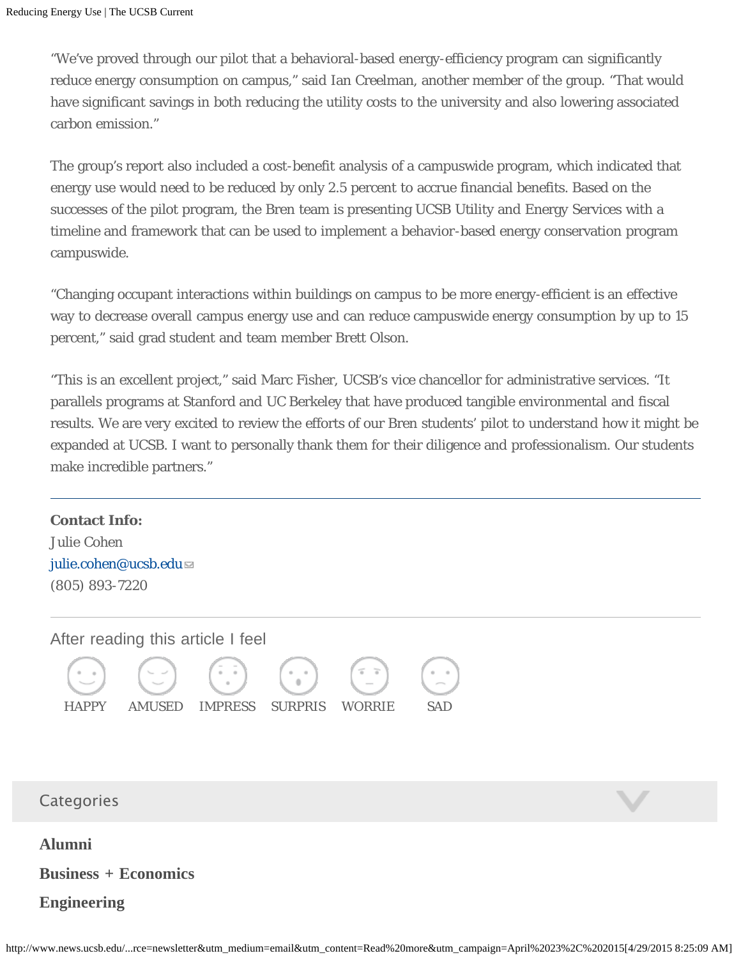"We've proved through our pilot that a behavioral-based energy-efficiency program can significantly reduce energy consumption on campus," said Ian Creelman, another member of the group. "That would have significant savings in both reducing the utility costs to the university and also lowering associated carbon emission."

The group's report also included a cost-benefit analysis of a campuswide program, which indicated that energy use would need to be reduced by only 2.5 percent to accrue financial benefits. Based on the successes of the pilot program, the Bren team is presenting UCSB Utility and Energy Services with a timeline and framework that can be used to implement a behavior-based energy conservation program campuswide.

"Changing occupant interactions within buildings on campus to be more energy-efficient is an effective way to decrease overall campus energy use and can reduce campuswide energy consumption by up to 15 percent," said grad student and team member Brett Olson.

"This is an excellent project," said Marc Fisher, UCSB's vice chancellor for administrative services. "It parallels programs at Stanford and UC Berkeley that have produced tangible environmental and fiscal results. We are very excited to review the efforts of our Bren students' pilot to understand how it might be expanded at UCSB. I want to personally thank them for their diligence and professionalism. Our students make incredible partners."

**Contact Info:** Julie Cohen [julie.cohen@ucsb.edu](mailto:julie.cohen@ucsb.edu) (805) 893-7220

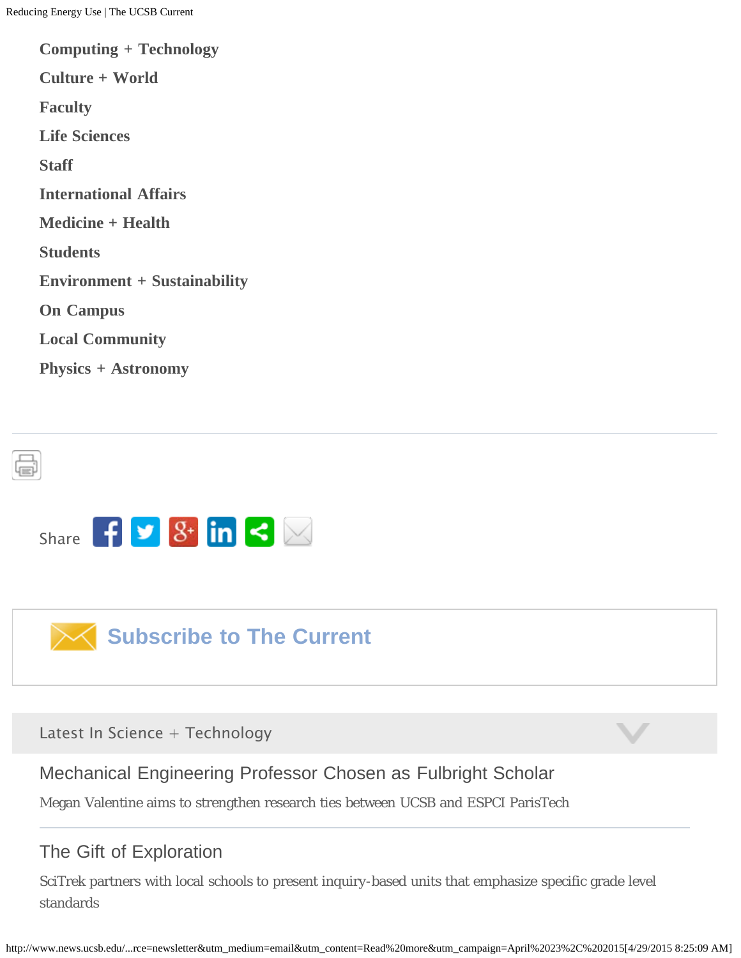**[Computing + Technology](http://www.news.ucsb.edu/science-technology/computing-technology) [Culture + World](http://www.news.ucsb.edu/society-culture/culture-world) [Faculty](http://www.news.ucsb.edu/campus-community/faculty) [Life Sciences](http://www.news.ucsb.edu/science-technology/life-sciences) [Staff](http://www.news.ucsb.edu/campus-community/staff) [International Affairs](http://www.news.ucsb.edu/society-culture/international-affairs) [Medicine + Health](http://www.news.ucsb.edu/science-technology/medicine-health) [Students](http://www.news.ucsb.edu/campus-community/students) [Environment + Sustainability](http://www.news.ucsb.edu/science-technology/environment-sustainability) [On Campus](http://www.news.ucsb.edu/campus-community/campus) [Local Community](http://www.news.ucsb.edu/campus-community/local-community) [Physics + Astronomy](http://www.news.ucsb.edu/science-technology/physics-astronomy)**





Latest In Science + Technology

[Mechanical Engineering Professor Chosen as Fulbright Scholar](http://www.news.ucsb.edu/2015/015360/uc-santa-barbara-professor-chosen-fulbright-scholar)

Megan Valentine aims to strengthen research ties between UCSB and ESPCI ParisTech

## [The Gift of Exploration](http://www.news.ucsb.edu/2015/015355/gift-exploration)

SciTrek partners with local schools to present inquiry-based units that emphasize specific grade level standards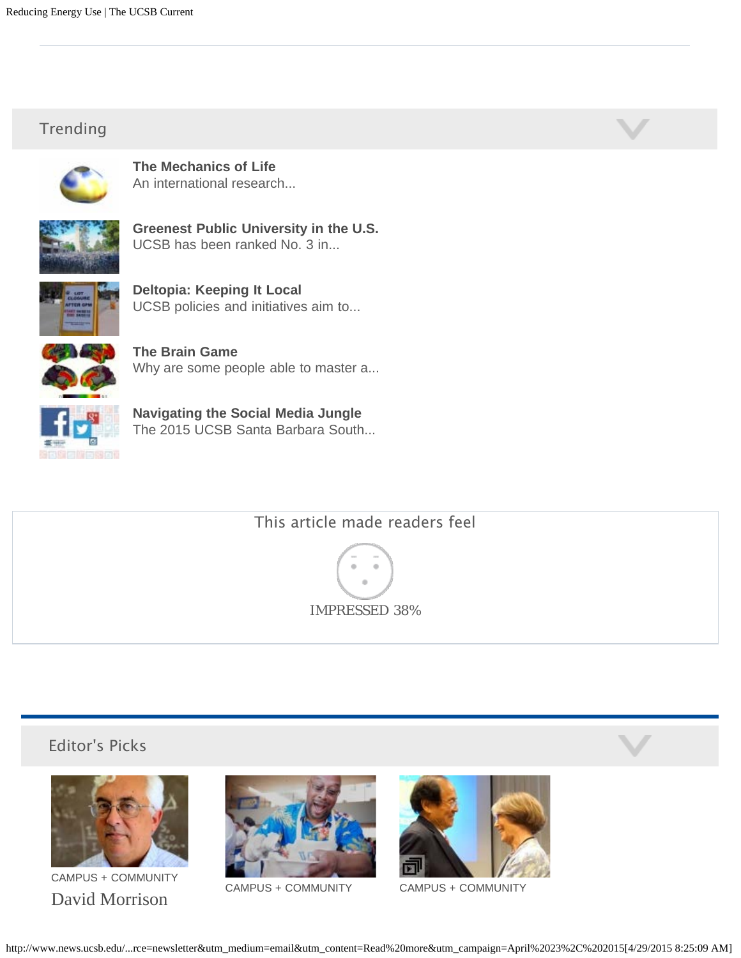### Trending



**[The Mechanics of Life](http://www.news.ucsb.edu/2015/015322/mechanics-life)** An international research...



**[Greenest Public University in the U.S.](http://www.news.ucsb.edu/2015/015325/greenest-public-university-us)** UCSB has been ranked No. 3 in...



**[Deltopia: Keeping It Local](http://www.news.ucsb.edu/2015/015273/deltopia-keeping-it-local)** UCSB policies and initiatives aim to...



**[The Brain Game](http://www.news.ucsb.edu/2015/015282/brain-game)** Why are some people able to master a...



**[Navigating the Social Media Jungle](http://www.news.ucsb.edu/2015/015308/navigating-social-media-jungle)** The 2015 UCSB Santa Barbara South...



IMPRESSED 38%

#### Editor's Picks



[CAMPUS + COMMUNITY](http://www.news.ucsb.edu/campus-community) [David Morrison](http://www.news.ucsb.edu/2015/015343/david-morrison-named-american-academy-arts-and-sciences)



[CAMPUS + COMMUNITY](http://www.news.ucsb.edu/campus-community) [CAMPUS + COMMUNITY](http://www.news.ucsb.edu/campus-community)